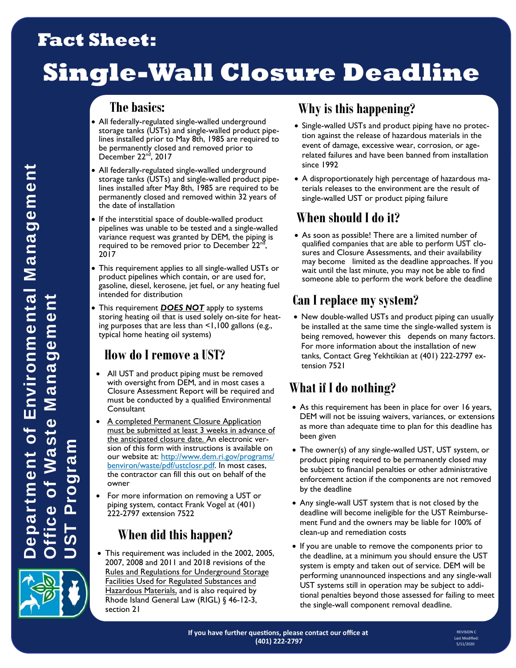# **Fact Sheet:**

# **Single-Wall Closure Deadline**

#### **The basics:**

- All federally-regulated single-walled underground storage tanks (USTs) and single-walled product pipelines installed prior to May 8th, 1985 are required to be permanently closed and removed prior to December 22<sup>nd</sup>, 2017
- All federally-regulated single-walled underground storage tanks (USTs) and single-walled product pipelines installed after May 8th, 1985 are required to be permanently closed and removed within 32 years of the date of installation
- If the interstitial space of double-walled product pipelines was unable to be tested and a single-walled variance request was granted by DEM, the piping is required to be removed prior to December 22<sup>nd</sup>, 2017
- This requirement applies to all single-walled USTs or product pipelines which contain, or are used for, gasoline, diesel, kerosene, jet fuel, or any heating fuel intended for distribution
- This requirement *DOES NOT* apply to systems storing heating oil that is used solely on-site for heating purposes that are less than <1,100 gallons (e.g., typical home heating oil systems)

#### **How do I remove a UST?**

- All UST and product piping must be removed with oversight from DEM, and in most cases a Closure Assessment Report will be required and must be conducted by a qualified Environmental **Consultant**
- A completed Permanent Closure Application must be submitted at least 3 weeks in advance of the anticipated closure date. An electronic version of this form with instructions is available on our website at: http://www.dem.ri.gov/programs/ benviron/waste/pdf/ustclosr.pdf. In most cases, the contractor can fill this out on behalf of the owner
- For more information on removing a UST or piping system, contact Frank Vogel at (401) 222-2797 extension 7522

#### **When did this happen?**

 This requirement was included in the 2002, 2005, 2007, 2008 and 2011 and 2018 revisions of the Rules and Regulations for Underground Storage Facilities Used for Regulated Substances and Hazardous Materials, and is also required by Rhode Island General Law (RIGL) § 46-12-3, section 21

# **Why is this happening?**

- Single-walled USTs and product piping have no protection against the release of hazardous materials in the event of damage, excessive wear, corrosion, or agerelated failures and have been banned from installation since 1992
- A disproportionately high percentage of hazardous materials releases to the environment are the result of single-walled UST or product piping failure

### **When should I do it?**

 As soon as possible! There are a limited number of qualified companies that are able to perform UST closures and Closure Assessments, and their availability may become limited as the deadline approaches. If you wait until the last minute, you may not be able to find someone able to perform the work before the deadline

#### **Can I replace my system?**

• New double-walled USTs and product piping can usually be installed at the same time the single-walled system is being removed, however this depends on many factors. For more information about the installation of new tanks, Contact Greg Yekhtikian at (401) 222-2797 extension 7521

## **What if I do nothing?**

- As this requirement has been in place for over 16 years, DEM will not be issuing waivers, variances, or extensions as more than adequate time to plan for this deadline has been given
- The owner(s) of any single-walled UST, UST system, or product piping required to be permanently closed may be subject to financial penalties or other administrative enforcement action if the components are not removed by the deadline
- Any single-wall UST system that is not closed by the deadline will become ineligible for the UST Reimbursement Fund and the owners may be liable for 100% of clean-up and remediation costs
- If you are unable to remove the components prior to the deadline, at a minimum you should ensure the UST system is empty and taken out of service. DEM will be performing unannounced inspections and any single-wall UST systems still in operation may be subject to additional penalties beyond those assessed for failing to meet the single-wall component removal deadline.